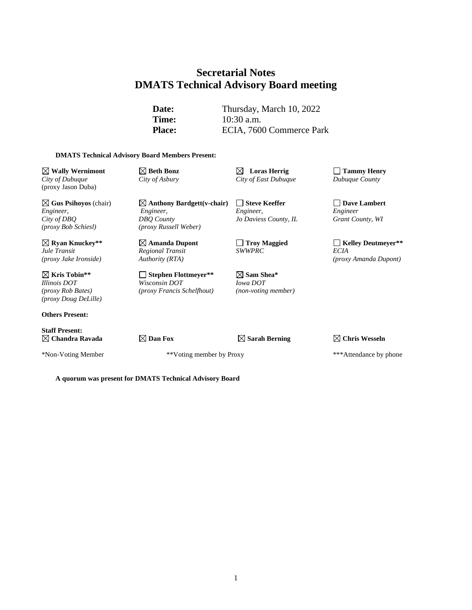# **Secretarial Notes DMATS Technical Advisory Board meeting**

**Date:** Thursday, March 10, 2022 **Time:** 10:30 a.m. Place: ECIA, 7600 Commerce Park

#### **DMATS Technical Advisory Board Members Present:**

 $\boxtimes$  **Wally** Wernimont  $\boxtimes$  Beth Bonz  $\boxtimes$  Loras Herrig  $\Box$  Tammy Henry *City of Dubuque City of Asbury City of East Dubuque Dubuque County* (proxy Jason Duba)

**Gus Psihoyos** (chair) **Anthony Bardgett(v-chair) Steve Keeffer Dave Lambert** *Engineer, Engineer, Engineer, Engineer City of DBQ DBQ County Jo Daviess County, IL Grant County, WI (proxy Bob Schiesl) (proxy Russell Weber)*

**Kris Tobin\*\* Stephen Flottmeyer\*\* Sam Shea\*** *Illinois DOT Wisconsin DOT Iowa DOT (proxy Rob Bates) (proxy Francis Schelfhout) (non-voting member) (proxy Doug DeLille)*

**Others Present:**

**Staff Present:**

*Regional Transit*<br>*Authority (RTA)* 

\*Non-Voting Member \*\*Voting member by Proxy \*\*\*Attendance by phone

 $\boxed{\times}$  **Ryan Knuckey\*\* Amanda Dupont C** Troy Maggied **C** Kelley Deutmeyer<sup>\*\*</sup><br> *Regional Transit SWWPRC ECIA (proxy Jake Ironside) Authority (RTA) (proxy Amanda Dupont)*

**Chandra Ravada Dan Fox Sarah Berning Chris Wesseln**

**A quorum was present for DMATS Technical Advisory Board**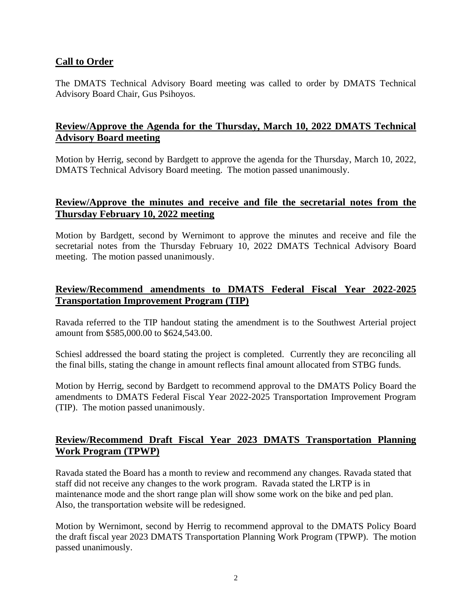## **Call to Order**

The DMATS Technical Advisory Board meeting was called to order by DMATS Technical Advisory Board Chair, Gus Psihoyos.

## **Review/Approve the Agenda for the Thursday, March 10, 2022 DMATS Technical Advisory Board meeting**

Motion by Herrig, second by Bardgett to approve the agenda for the Thursday, March 10, 2022, DMATS Technical Advisory Board meeting. The motion passed unanimously.

## **Review/Approve the minutes and receive and file the secretarial notes from the Thursday February 10, 2022 meeting**

Motion by Bardgett, second by Wernimont to approve the minutes and receive and file the secretarial notes from the Thursday February 10, 2022 DMATS Technical Advisory Board meeting. The motion passed unanimously.

# **Review/Recommend amendments to DMATS Federal Fiscal Year 2022-2025 Transportation Improvement Program (TIP)**

Ravada referred to the TIP handout stating the amendment is to the Southwest Arterial project amount from \$585,000.00 to \$624,543.00.

Schiesl addressed the board stating the project is completed. Currently they are reconciling all the final bills, stating the change in amount reflects final amount allocated from STBG funds.

Motion by Herrig, second by Bardgett to recommend approval to the DMATS Policy Board the amendments to DMATS Federal Fiscal Year 2022-2025 Transportation Improvement Program (TIP). The motion passed unanimously.

## **Review/Recommend Draft Fiscal Year 2023 DMATS Transportation Planning Work Program (TPWP)**

Ravada stated the Board has a month to review and recommend any changes. Ravada stated that staff did not receive any changes to the work program. Ravada stated the LRTP is in maintenance mode and the short range plan will show some work on the bike and ped plan. Also, the transportation website will be redesigned.

Motion by Wernimont, second by Herrig to recommend approval to the DMATS Policy Board the draft fiscal year 2023 DMATS Transportation Planning Work Program (TPWP). The motion passed unanimously.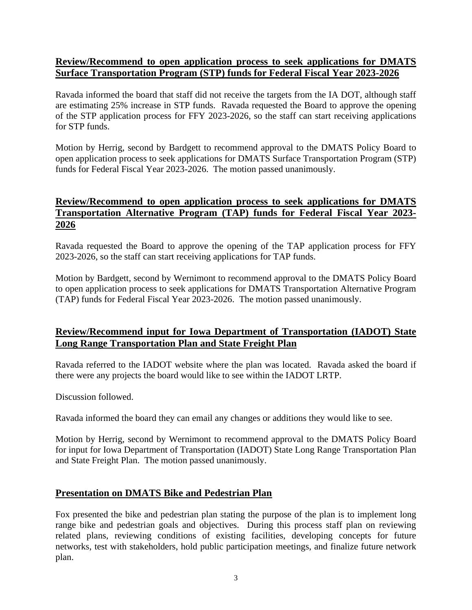### **Review/Recommend to open application process to seek applications for DMATS Surface Transportation Program (STP) funds for Federal Fiscal Year 2023-2026**

Ravada informed the board that staff did not receive the targets from the IA DOT, although staff are estimating 25% increase in STP funds. Ravada requested the Board to approve the opening of the STP application process for FFY 2023-2026, so the staff can start receiving applications for STP funds.

Motion by Herrig, second by Bardgett to recommend approval to the DMATS Policy Board to open application process to seek applications for DMATS Surface Transportation Program (STP) funds for Federal Fiscal Year 2023-2026. The motion passed unanimously.

## **Review/Recommend to open application process to seek applications for DMATS Transportation Alternative Program (TAP) funds for Federal Fiscal Year 2023- 2026**

Ravada requested the Board to approve the opening of the TAP application process for FFY 2023-2026, so the staff can start receiving applications for TAP funds.

Motion by Bardgett, second by Wernimont to recommend approval to the DMATS Policy Board to open application process to seek applications for DMATS Transportation Alternative Program (TAP) funds for Federal Fiscal Year 2023-2026. The motion passed unanimously.

## **Review/Recommend input for Iowa Department of Transportation (IADOT) State Long Range Transportation Plan and State Freight Plan**

Ravada referred to the IADOT website where the plan was located. Ravada asked the board if there were any projects the board would like to see within the IADOT LRTP.

Discussion followed.

Ravada informed the board they can email any changes or additions they would like to see.

Motion by Herrig, second by Wernimont to recommend approval to the DMATS Policy Board for input for Iowa Department of Transportation (IADOT) State Long Range Transportation Plan and State Freight Plan. The motion passed unanimously.

## **Presentation on DMATS Bike and Pedestrian Plan**

Fox presented the bike and pedestrian plan stating the purpose of the plan is to implement long range bike and pedestrian goals and objectives. During this process staff plan on reviewing related plans, reviewing conditions of existing facilities, developing concepts for future networks, test with stakeholders, hold public participation meetings, and finalize future network plan.